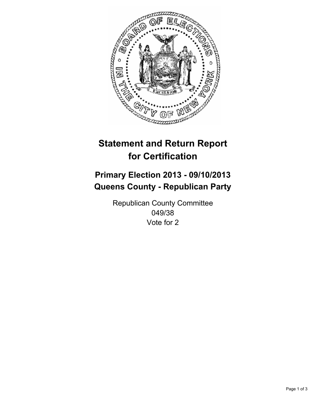

# **Statement and Return Report for Certification**

# **Primary Election 2013 - 09/10/2013 Queens County - Republican Party**

Republican County Committee 049/38 Vote for 2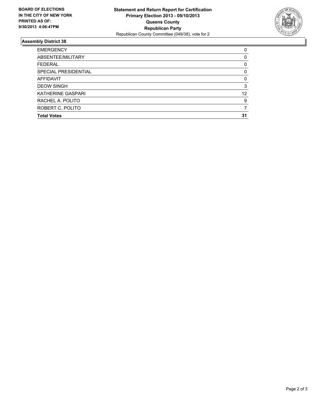

## **Assembly District 38**

| 0  |
|----|
| 0  |
| 0  |
| 0  |
| 0  |
| 3  |
| 12 |
| 9  |
|    |
| 31 |
|    |